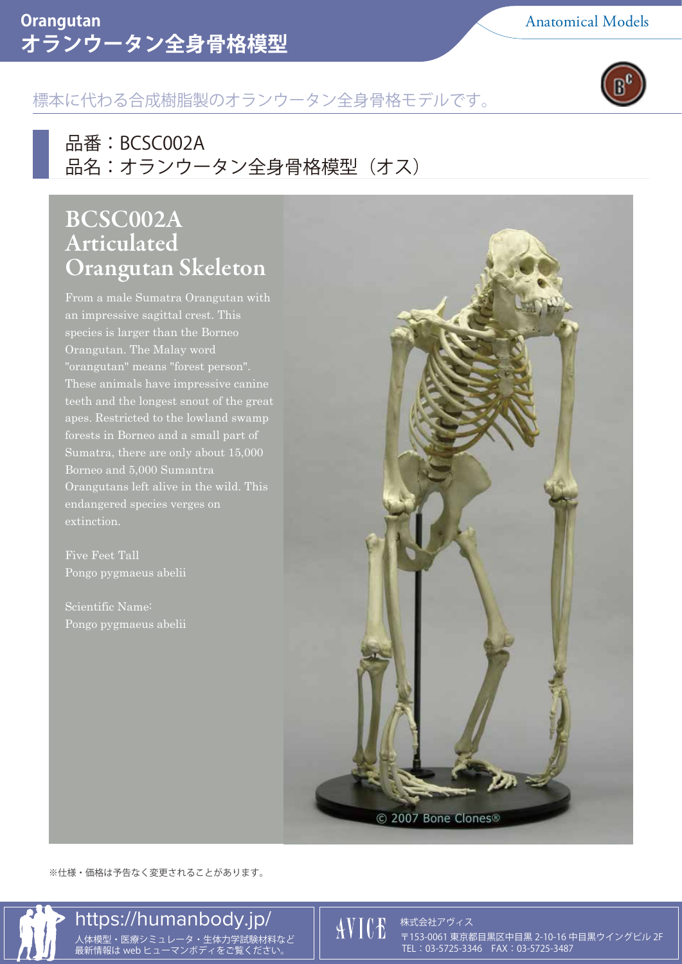### オランウータン全身骨格模型 **Orangutan** Anatomical Models



## 標本に代わる合成樹脂製のオランウータン全身骨格モデルです。

品番 :BCSC002A 品名:オランウータン全身骨格模型 (オス)

# BCSC002A Articulated Orangutan Skeleton

From a male Sumatra Orangutan with an impressive sagittal crest. This species is larger than the Borneo Orangutan. The Malay word "orangutan" means "forest person". These animals have impressive canine teeth and the longest snout of the great Sumatra, there are only about 15,000 Orangutans left alive in the wild. This endangered species verges on extinction.

Five Feet Tall Pongo pygmaeus abelii

Pongo pygmaeus abelii



※仕様・価格は予告なく変更されることがあります。

# https://humanbody.jp/

株式会社アヴィス 人体模型・医療シミュレータ・生体力学試験材料など 〒153-0061 東京都目黒区中目黒 2-10-16 中目黒ウイングビル 2F TEL: 03-5725-3346 FAX: 03-5725-3487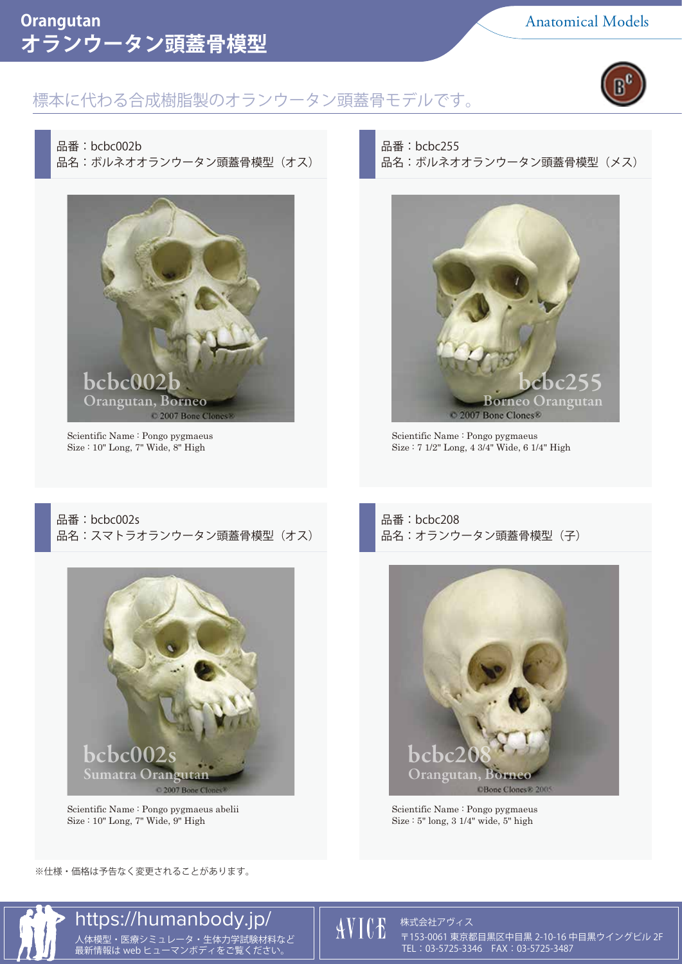### **オランウータン頭蓋骨模型 Orangutan** Anatomical Models

#### 標本に代わる合成樹脂製のオランウータン頭蓋骨モデルです。



品番:bcbc002b 品名:ボルネオオランウータン頭蓋骨模型 (オス)



Scientific Name : Pongo pygmaeus Size : 10" Long, 7" Wide, 8" High

品番:bcbc255 品名:ボルネオオランウータン頭蓋骨模型(メス)



Scientific Name : Pongo pygmaeus Size : 7 1/2" Long, 4 3/4" Wide, 6 1/4" High

品番:bcbc002s 品名:スマトラオランウータン頭蓋骨模型 (オス)



Scientific Name : Pongo pygmaeus abelii Size : 10" Long, 7" Wide, 9" High

品番:bcbc208 品名:オランウータン頭蓋骨模型 (子)



Scientific Name : Pongo pygmaeus Size :  $5$ " long,  $3 \frac{1}{4}$ " wide,  $5$ " high

※仕様・価格は予告なく変更されることがあります。



株式会社アヴィス

人体模型・医療シミュレータ・生体力学試験材料など ││ '▲ ' ▲ ↓ ↓ ↓ 〒153-0061 東京都目黒区中目黒 2-10-16 中目黒ウイングビル 2F